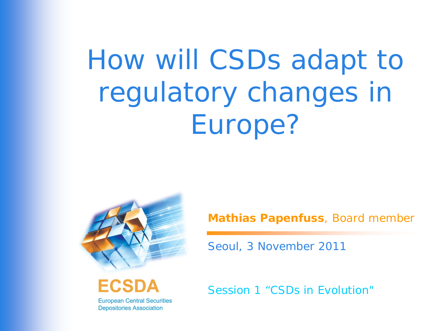# How will CSDs adapt to regulatory changes in Europe?



ECSD **European Central Securities Depositories Association** 

**Mathias Papenfuss**, Board member

Seoul, 3 November 2011

*Session 1 "CSDs in Evolution"*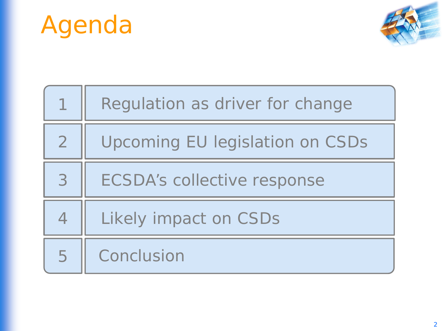



|                          | Regulation as driver for change    |
|--------------------------|------------------------------------|
| $\overline{2}$           | Upcoming EU legislation on CSDs    |
| 3                        | <b>ECSDA's collective response</b> |
| $\overline{\mathcal{A}}$ | Likely impact on CSDs              |
| 5                        | Conclusion                         |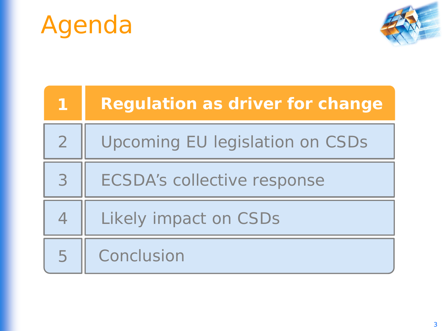



| 41             | <b>Regulation as driver for change</b> |
|----------------|----------------------------------------|
| $\overline{2}$ | <b>Upcoming EU legislation on CSDs</b> |
| 3              | <b>ECSDA's collective response</b>     |
| $\overline{4}$ | Likely impact on CSDs                  |
| 5              | Conclusion                             |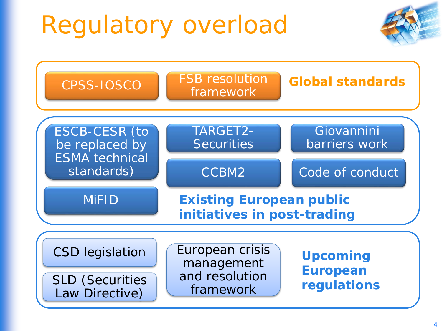# Regulatory overload



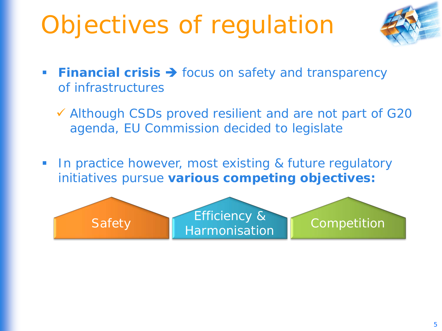# Objectives of regulation



- **Financial crisis > focus on safety and transparency** of infrastructures
	- Although CSDs proved resilient and are not part of G20 agenda, EU Commission decided to legislate
- **IF In practice however, most existing & future regulatory** initiatives pursue **various competing objectives:**

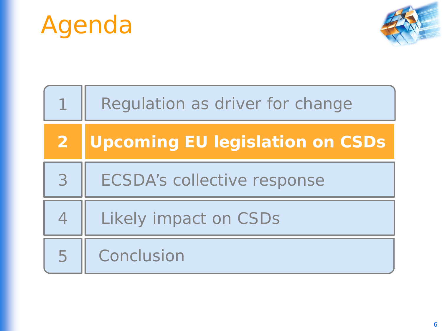



|                | Regulation as driver for change        |
|----------------|----------------------------------------|
| $\overline{2}$ | <b>Upcoming EU legislation on CSDs</b> |
| 3              | <b>ECSDA's collective response</b>     |
| $\overline{4}$ | Likely impact on CSDs                  |
| 5              | Conclusion                             |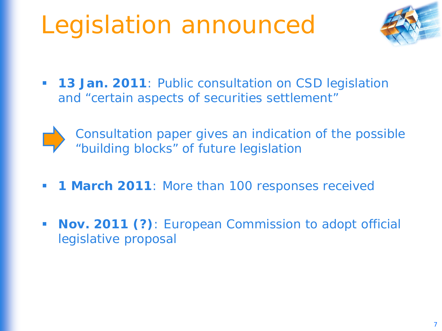# Legislation announced



**13 Jan. 2011**: Public consultation on CSD legislation and "certain aspects of securities settlement"



*Consultation paper gives an indication of the possible "building blocks" of future legislation*

- **1 March 2011**: More than 100 responses received
- **Nov. 2011 (?)**: European Commission to adopt official legislative proposal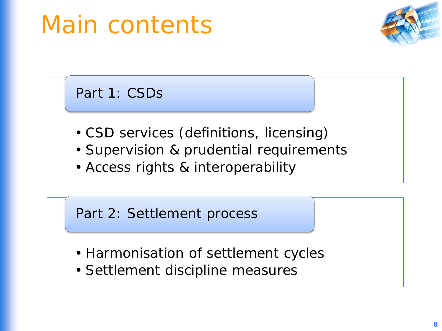# Main contents



Part 1: CSDs

- CSD services (definitions, licensing)
- Supervision & prudential requirements
- Access rights & interoperability

Part 2: Settlement process

- Harmonisation of settlement cycles
- Settlement discipline measures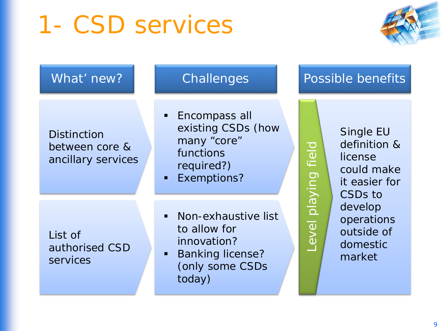### 1- CSD services



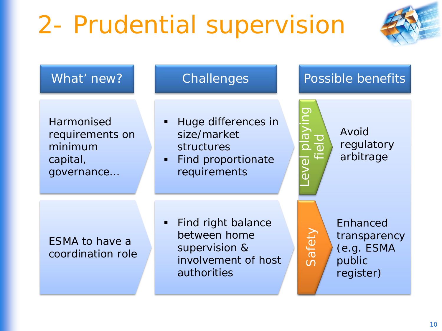# 2- Prudential supervision



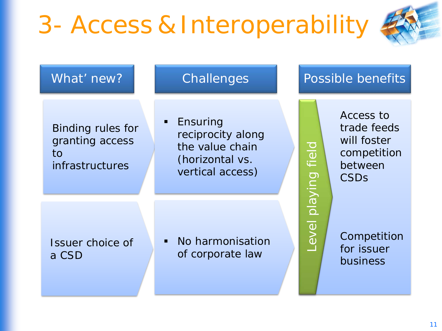# 3- Access & Interoperability



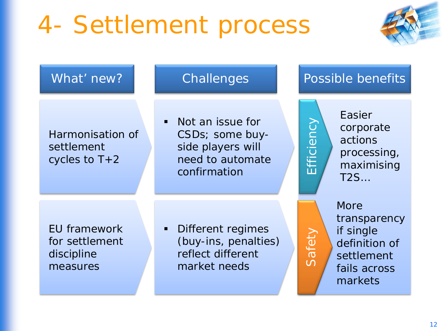# 4- Settlement process



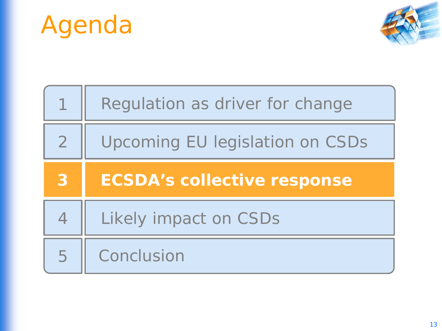



|                | Regulation as driver for change        |
|----------------|----------------------------------------|
| $\overline{2}$ | <b>Upcoming EU legislation on CSDs</b> |
|                |                                        |
| 3              | <b>ECSDA's collective response</b>     |
| $\overline{4}$ | Likely impact on CSDs                  |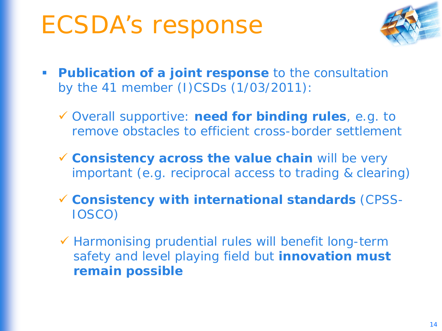#### ECSDA's response



- **Publication of a joint response** to the consultation by the 41 member (I)CSDs (1/03/2011):
	- Overall supportive: **need for binding rules**, e.g. to remove obstacles to efficient cross-border settlement
	- **Consistency across the value chain** will be very important (e.g. reciprocal access to trading & clearing)
	- **Consistency with international standards** (CPSS-IOSCO)
	- $\checkmark$  Harmonising prudential rules will benefit long-term safety and level playing field but **innovation must remain possible**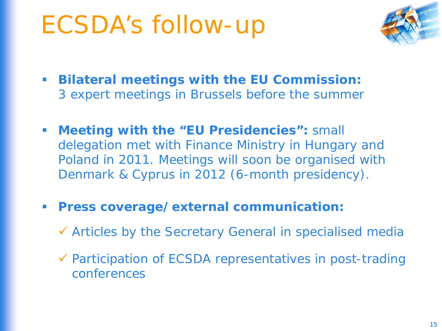### ECSDA's follow-up



- **Bilateral meetings with the EU Commission:** 3 expert meetings in Brussels before the summer
- **Meeting with the "EU Presidencies":** small delegation met with Finance Ministry in Hungary and Poland in 2011. Meetings will soon be organised with Denmark & Cyprus in 2012 (6-month presidency).
- **Press coverage/external communication:**
	- Articles by the Secretary General in specialised media
	- $\checkmark$  Participation of ECSDA representatives in post-trading conferences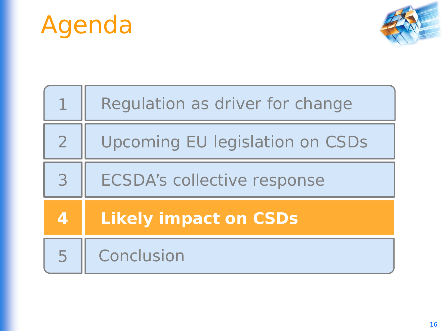



|                | Regulation as driver for change    |
|----------------|------------------------------------|
| $\overline{2}$ | Upcoming EU legislation on CSDs    |
| 3              | <b>ECSDA's collective response</b> |
| 4              | <b>Likely impact on CSDs</b>       |
| 5              | Conclusion                         |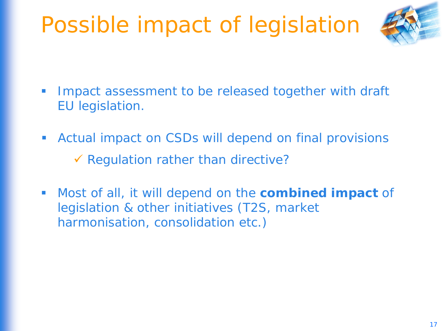#### Possible impact of legislation



- **IMPACT** assessment to be released together with draft EU legislation.
- Actual impact on CSDs will depend on final provisions  $\checkmark$  Regulation rather than directive?
- Most of all, it will depend on the **combined impact** of legislation & other initiatives (T2S, market harmonisation, consolidation etc.)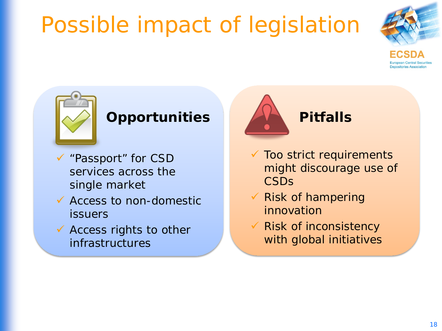#### Possible impact of legislation







#### **Opportunities**

- "Passport" for CSD services across the single market
- $\checkmark$  Access to non-domestic issuers
- $\checkmark$  Access rights to other infrastructures



- $\checkmark$  Too strict requirements might discourage use of **CSDs**
- $\checkmark$  Risk of hampering innovation
- Risk of inconsistency with global initiatives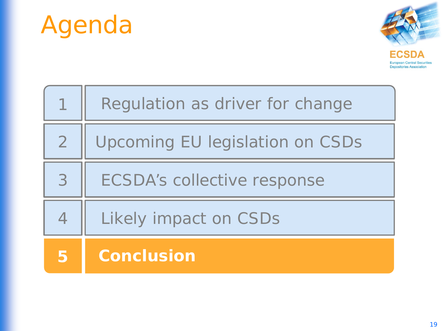



|                          | Regulation as driver for change        |
|--------------------------|----------------------------------------|
| $\overline{2}$           | <b>Upcoming EU legislation on CSDs</b> |
| 3                        | <b>ECSDA's collective response</b>     |
| $\overline{\mathcal{A}}$ | Likely impact on CSDs                  |
| 5                        | <b>Conclusion</b>                      |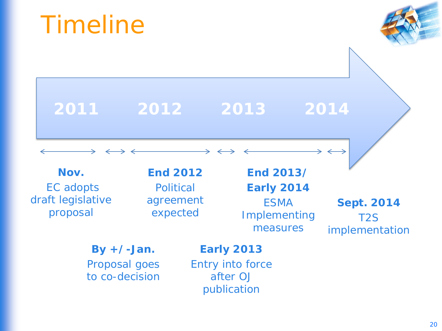**Nov.** EC adopts draft legislative proposal **By +/-Jan.**  Proposal goes to co-decision **End 2012 Political** agreement expected **End 2013/ Early 2014** ESMA Implementing measures **Early 2013** Entry into force after *OJ* publication **Sept. 2014** implementation **2011 2012 2013 2014**

### Timeline



T2S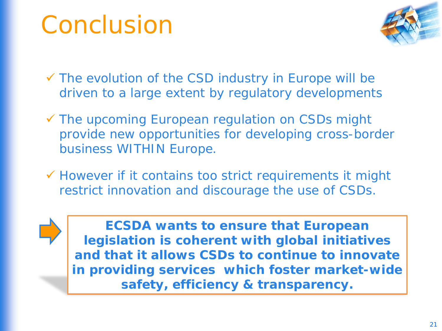#### Conclusion



 The evolution of the CSD industry in Europe will be driven to a large extent by regulatory developments

- The upcoming European regulation on CSDs might provide new opportunities for developing cross-border business WITHIN Europe.
- $\checkmark$  However if it contains too strict requirements it might restrict innovation and discourage the use of CSDs.

**ECSDA wants to ensure that European legislation is coherent with global initiatives and that it allows CSDs to continue to innovate in providing services which foster market-wide safety, efficiency & transparency.**